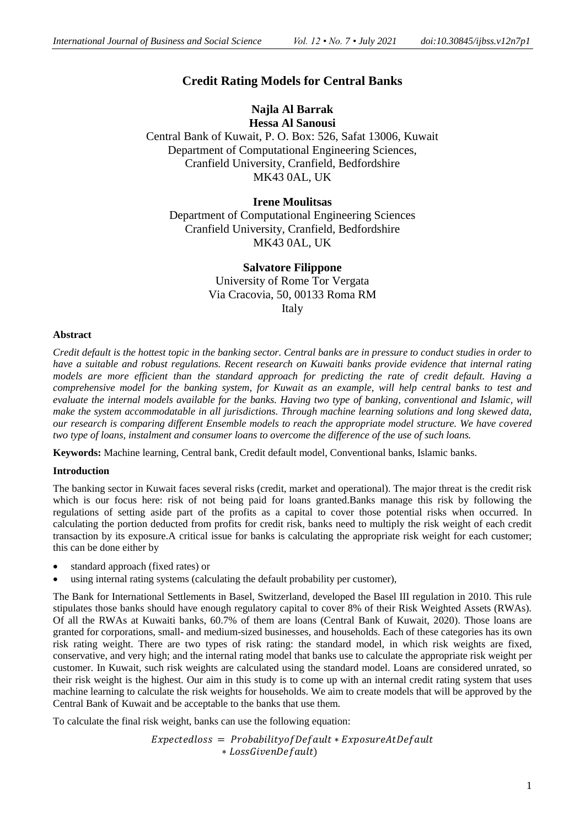# **Credit Rating Models for Central Banks**

## **Najla Al Barrak Hessa Al Sanousi** Central Bank of Kuwait, P. O. Box: 526, Safat 13006, Kuwait Department of Computational Engineering Sciences,

Cranfield University, Cranfield, Bedfordshire MK43 0AL, UK

### **Irene Moulitsas**

Department of Computational Engineering Sciences Cranfield University, Cranfield, Bedfordshire MK43 0AL, UK

### **Salvatore Filippone**

University of Rome Tor Vergata Via Cracovia, 50, 00133 Roma RM Italy

### **Abstract**

*Credit default is the hottest topic in the banking sector. Central banks are in pressure to conduct studies in order to have a suitable and robust regulations. Recent research on Kuwaiti banks provide evidence that internal rating models are more efficient than the standard approach for predicting the rate of credit default. Having a comprehensive model for the banking system, for Kuwait as an example, will help central banks to test and evaluate the internal models available for the banks. Having two type of banking, conventional and Islamic, will make the system accommodatable in all jurisdictions. Through machine learning solutions and long skewed data, our research is comparing different Ensemble models to reach the appropriate model structure. We have covered two type of loans, instalment and consumer loans to overcome the difference of the use of such loans.*

**Keywords:** Machine learning, Central bank, Credit default model, Conventional banks, Islamic banks.

### **Introduction**

The banking sector in Kuwait faces several risks (credit, market and operational). The major threat is the credit risk which is our focus here: risk of not being paid for loans granted.Banks manage this risk by following the regulations of setting aside part of the profits as a capital to cover those potential risks when occurred. In calculating the portion deducted from profits for credit risk, banks need to multiply the risk weight of each credit transaction by its exposure.A critical issue for banks is calculating the appropriate risk weight for each customer; this can be done either by

- standard approach (fixed rates) or
- using internal rating systems (calculating the default probability per customer),

The Bank for International Settlements in Basel, Switzerland, developed the Basel III regulation in 2010. This rule stipulates those banks should have enough regulatory capital to cover 8% of their Risk Weighted Assets (RWAs). Of all the RWAs at Kuwaiti banks, 60.7% of them are loans (Central Bank of Kuwait, 2020). Those loans are granted for corporations, small- and medium-sized businesses, and households. Each of these categories has its own risk rating weight. There are two types of risk rating: the standard model, in which risk weights are fixed, conservative, and very high; and the internal rating model that banks use to calculate the appropriate risk weight per customer. In Kuwait, such risk weights are calculated using the standard model. Loans are considered unrated, so their risk weight is the highest. Our aim in this study is to come up with an internal credit rating system that uses machine learning to calculate the risk weights for households. We aim to create models that will be approved by the Central Bank of Kuwait and be acceptable to the banks that use them.

To calculate the final risk weight, banks can use the following equation:

 $Expectedloss = Probability of Default * Exposure AtDefault$ ∗ )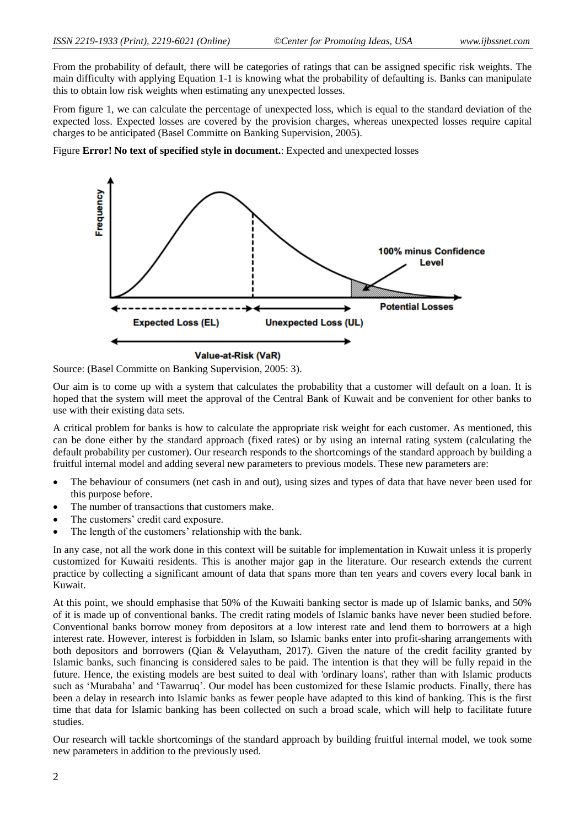From the probability of default, there will be categories of ratings that can be assigned specific risk weights. The main difficulty with applying Equation 1-1 is knowing what the probability of defaulting is. Banks can manipulate this to obtain low risk weights when estimating any unexpected losses.

From figure 1, we can calculate the percentage of unexpected loss, which is equal to the standard deviation of the expected loss. Expected losses are covered by the provision charges, whereas unexpected losses require capital charges to be anticipated (Basel Committe on Banking Supervision, 2005).

Figure **Error! No text of specified style in document.**: Expected and unexpected losses



Value-at-Risk (VaR)

Source: (Basel Committe on Banking Supervision, 2005: 3).

Our aim is to come up with a system that calculates the probability that a customer will default on a loan. It is hoped that the system will meet the approval of the Central Bank of Kuwait and be convenient for other banks to use with their existing data sets.

A critical problem for banks is how to calculate the appropriate risk weight for each customer. As mentioned, this can be done either by the standard approach (fixed rates) or by using an internal rating system (calculating the default probability per customer). Our research responds to the shortcomings of the standard approach by building a fruitful internal model and adding several new parameters to previous models. These new parameters are:

- The behaviour of consumers (net cash in and out), using sizes and types of data that have never been used for this purpose before.
- The number of transactions that customers make.
- The customers' credit card exposure.
- The length of the customers' relationship with the bank.

In any case, not all the work done in this context will be suitable for implementation in Kuwait unless it is properly customized for Kuwaiti residents. This is another major gap in the literature. Our research extends the current practice by collecting a significant amount of data that spans more than ten years and covers every local bank in Kuwait.

At this point, we should emphasise that 50% of the Kuwaiti banking sector is made up of Islamic banks, and 50% of it is made up of conventional banks. The credit rating models of Islamic banks have never been studied before. Conventional banks borrow money from depositors at a low interest rate and lend them to borrowers at a high interest rate. However, interest is forbidden in Islam, so Islamic banks enter into profit-sharing arrangements with both depositors and borrowers (Qian & Velayutham, 2017). Given the nature of the credit facility granted by Islamic banks, such financing is considered sales to be paid. The intention is that they will be fully repaid in the future. Hence, the existing models are best suited to deal with 'ordinary loans', rather than with Islamic products such as 'Murabaha' and 'Tawarruq'. Our model has been customized for these Islamic products. Finally, there has been a delay in research into Islamic banks as fewer people have adapted to this kind of banking. This is the first time that data for Islamic banking has been collected on such a broad scale, which will help to facilitate future studies.

Our research will tackle shortcomings of the standard approach by building fruitful internal model, we took some new parameters in addition to the previously used.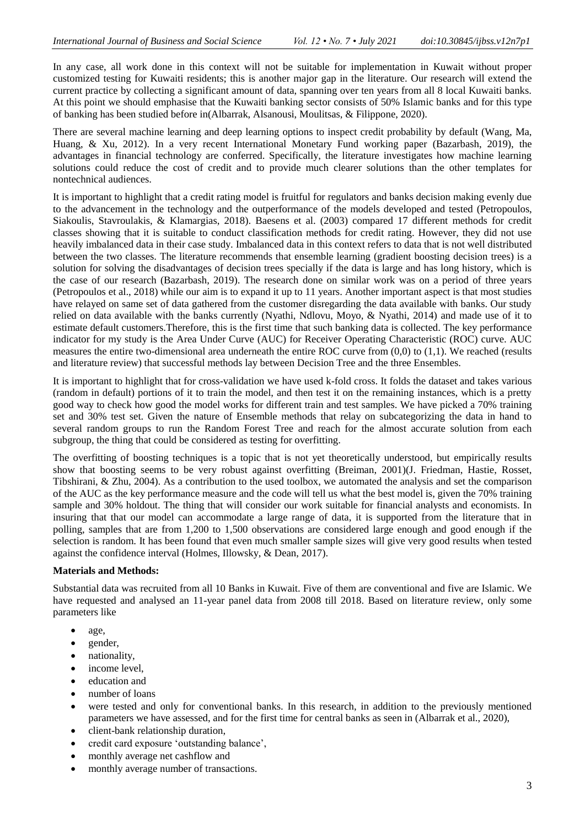In any case, all work done in this context will not be suitable for implementation in Kuwait without proper customized testing for Kuwaiti residents; this is another major gap in the literature. Our research will extend the current practice by collecting a significant amount of data, spanning over ten years from all 8 local Kuwaiti banks. At this point we should emphasise that the Kuwaiti banking sector consists of 50% Islamic banks and for this type of banking has been studied before in(Albarrak, Alsanousi, Moulitsas, & Filippone, 2020).

There are several machine learning and deep learning options to inspect credit probability by default (Wang, Ma, Huang, & Xu, 2012). In a very recent International Monetary Fund working paper (Bazarbash, 2019), the advantages in financial technology are conferred. Specifically, the literature investigates how machine learning solutions could reduce the cost of credit and to provide much clearer solutions than the other templates for nontechnical audiences.

It is important to highlight that a credit rating model is fruitful for regulators and banks decision making evenly due to the advancement in the technology and the outperformance of the models developed and tested (Petropoulos, Siakoulis, Stavroulakis, & Klamargias, 2018). Baesens et al. (2003) compared 17 different methods for credit classes showing that it is suitable to conduct classification methods for credit rating. However, they did not use heavily imbalanced data in their case study. Imbalanced data in this context refers to data that is not well distributed between the two classes. The literature recommends that ensemble learning (gradient boosting decision trees) is a solution for solving the disadvantages of decision trees specially if the data is large and has long history, which is the case of our research (Bazarbash, 2019). The research done on similar work was on a period of three years (Petropoulos et al., 2018) while our aim is to expand it up to 11 years. Another important aspect is that most studies have relayed on same set of data gathered from the customer disregarding the data available with banks. Our study relied on data available with the banks currently (Nyathi, Ndlovu, Moyo, & Nyathi, 2014) and made use of it to estimate default customers.Therefore, this is the first time that such banking data is collected. The key performance indicator for my study is the Area Under Curve (AUC) for Receiver Operating Characteristic (ROC) curve. AUC measures the entire two-dimensional area underneath the entire ROC curve from  $(0,0)$  to  $(1,1)$ . We reached (results and literature review) that successful methods lay between Decision Tree and the three Ensembles.

It is important to highlight that for cross-validation we have used k-fold cross. It folds the dataset and takes various (random in default) portions of it to train the model, and then test it on the remaining instances, which is a pretty good way to check how good the model works for different train and test samples. We have picked a 70% training set and 30% test set. Given the nature of Ensemble methods that relay on subcategorizing the data in hand to several random groups to run the Random Forest Tree and reach for the almost accurate solution from each subgroup, the thing that could be considered as testing for overfitting.

The overfitting of boosting techniques is a topic that is not yet theoretically understood, but empirically results show that boosting seems to be very robust against overfitting (Breiman, 2001)(J. Friedman, Hastie, Rosset, Tibshirani, & Zhu, 2004). As a contribution to the used toolbox, we automated the analysis and set the comparison of the AUC as the key performance measure and the code will tell us what the best model is, given the 70% training sample and 30% holdout. The thing that will consider our work suitable for financial analysts and economists. In insuring that that our model can accommodate a large range of data, it is supported from the literature that in polling, samples that are from 1,200 to 1,500 observations are considered large enough and good enough if the selection is random. It has been found that even much smaller sample sizes will give very good results when tested against the confidence interval (Holmes, Illowsky, & Dean, 2017).

### **Materials and Methods:**

Substantial data was recruited from all 10 Banks in Kuwait. Five of them are conventional and five are Islamic. We have requested and analysed an 11-year panel data from 2008 till 2018. Based on literature review, only some parameters like

- age,
- gender,
- nationality,
- income level.
- education and
- number of loans
- were tested and only for conventional banks. In this research, in addition to the previously mentioned parameters we have assessed, and for the first time for central banks as seen in (Albarrak et al., 2020),
- client-bank relationship duration,
- credit card exposure 'outstanding balance',
- monthly average net cashflow and
- monthly average number of transactions.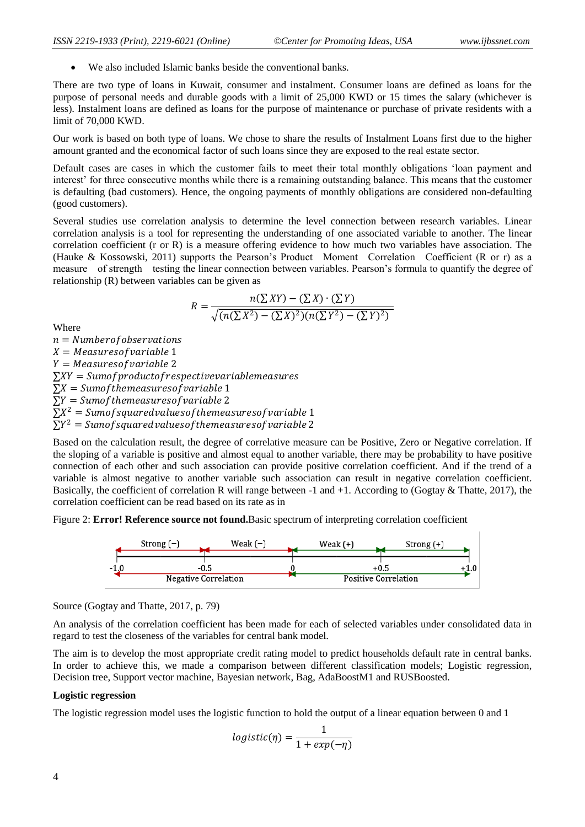We also included Islamic banks beside the conventional banks.

There are two type of loans in Kuwait, consumer and instalment. Consumer loans are defined as loans for the purpose of personal needs and durable goods with a limit of 25,000 KWD or 15 times the salary (whichever is less). Instalment loans are defined as loans for the purpose of maintenance or purchase of private residents with a limit of 70,000 KWD.

Our work is based on both type of loans. We chose to share the results of Instalment Loans first due to the higher amount granted and the economical factor of such loans since they are exposed to the real estate sector.

Default cases are cases in which the customer fails to meet their total monthly obligations 'loan payment and interest' for three consecutive months while there is a remaining outstanding balance. This means that the customer is defaulting (bad customers). Hence, the ongoing payments of monthly obligations are considered non-defaulting (good customers).

Several studies use correlation analysis to determine the level connection between research variables. Linear correlation analysis is a tool for representing the understanding of one associated variable to another. The linear correlation coefficient (r or R) is a measure offering evidence to how much two variables have association. The (Hauke & Kossowski, 2011) supports the Pearson's Product Moment Correlation Coefficient (R or r) as a measure of strength testing the linear connection between variables. Pearson's formula to quantify the degree of relationship (R) between variables can be given as

$$
R = \frac{n(\sum XY) - (\sum X) \cdot (\sum Y)}{\sqrt{(n(\sum X^2) - (\sum X)^2)(n(\sum Y^2) - (\sum Y)^2)}}
$$

Where

 $n =$  Number of observations  $X = Measure of variable 1$  $Y = Measure of variable 2$  $\sum XY = Sum of product of respective variables$  $\sum X =$  Sumof themeasures of variable 1  $\Sigma Y = Sum of the measures of variable 2$  $\sum X^2 = Sum of squared values of the measures of variable 1$  $\sum Y^2 = Sum of squared values of the measures of variable 2$ 

Based on the calculation result, the degree of correlative measure can be Positive, Zero or Negative correlation. If the sloping of a variable is positive and almost equal to another variable, there may be probability to have positive connection of each other and such association can provide positive correlation coefficient. And if the trend of a variable is almost negative to another variable such association can result in negative correlation coefficient. Basically, the coefficient of correlation R will range between -1 and +1. According to (Gogtay  $\&$  Thatte, 2017), the correlation coefficient can be read based on its rate as in

Figure 2: **Error! Reference source not found.**Basic spectrum of interpreting correlation coefficient



Source (Gogtay and Thatte, 2017, p. 79)

An analysis of the correlation coefficient has been made for each of selected variables under consolidated data in regard to test the closeness of the variables for central bank model.

The aim is to develop the most appropriate credit rating model to predict households default rate in central banks. In order to achieve this, we made a comparison between different classification models; Logistic regression, Decision tree, Support vector machine, Bayesian network, Bag, AdaBoostM1 and RUSBoosted.

#### **Logistic regression**

The logistic regression model uses the logistic function to hold the output of a linear equation between 0 and 1

$$
logistic(\eta) = \frac{1}{1 + exp(-\eta)}
$$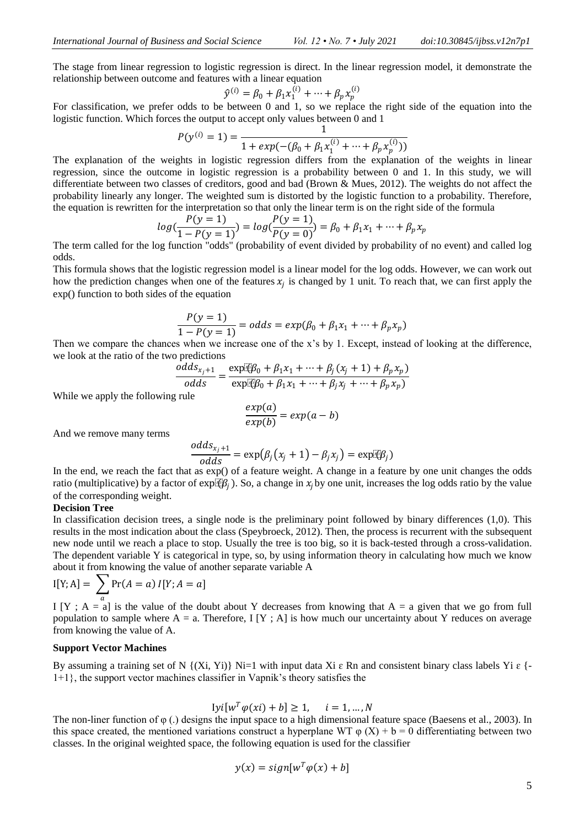The stage from linear regression to logistic regression is direct. In the linear regression model, it demonstrate the relationship between outcome and features with a linear equation

$$
\hat{y}^{(i)} = \beta_0 + \beta_1 x_1^{(i)} + \dots + \beta_p x_p^{(i)}
$$

For classification, we prefer odds to be between 0 and 1, so we replace the right side of the equation into the logistic function. Which forces the output to accept only values between 0 and 1

$$
P(y^{(i)} = 1) = \frac{1}{1 + exp(-(\beta_0 + \beta_1 x_1^{(i)} + \dots + \beta_p x_p^{(i)}))}
$$

The explanation of the weights in logistic regression differs from the explanation of the weights in linear regression, since the outcome in logistic regression is a probability between 0 and 1. In this study, we will differentiate between two classes of creditors, good and bad (Brown & Mues, 2012). The weights do not affect the probability linearly any longer. The weighted sum is distorted by the logistic function to a probability. Therefore, the equation is rewritten for the interpretation so that only the linear term is on the right side of the formula

$$
log(\frac{P(y=1)}{1 - P(y=1)}) = log(\frac{P(y=1)}{P(y=0)}) = \beta_0 + \beta_1 x_1 + \dots + \beta_p x_p
$$

The term called for the log function "odds" (probability of event divided by probability of no event) and called log odds.

This formula shows that the logistic regression model is a linear model for the log odds. However, we can work out how the prediction changes when one of the features  $x_j$  is changed by 1 unit. To reach that, we can first apply the exp() function to both sides of the equation

$$
\frac{P(y = 1)}{1 - P(y = 1)} = \text{odds} = \exp(\beta_0 + \beta_1 x_1 + \dots + \beta_p x_p)
$$

Then we compare the chances when we increase one of the x's by 1. Except, instead of looking at the difference, we look at the ratio of the two predictions

$$
\frac{odds_{x_j+1}}{odds} = \frac{\exp[\mathfrak{F}\beta_0 + \beta_1 x_1 + \dots + \beta_j (x_j + 1) + \beta_p x_p]}{\exp[\mathfrak{F}\beta_0 + \beta_1 x_1 + \dots + \beta_j x_j + \dots + \beta_p x_p]}
$$

While we apply the following rule

$$
\frac{exp(a)}{exp(b)} = exp(a - b)
$$

And we remove many terms

$$
\frac{odds_{x_j+1}}{odds} = \exp(\beta_j(x_j+1) - \beta_j x_j) = \exp[\mathfrak{E}\beta_j]
$$

In the end, we reach the fact that as exp() of a feature weight. A change in a feature by one unit changes the odds ratio (multiplicative) by a factor of  $exp[ $\Psi_B$ ]$ . So, a change in  $x_i$  by one unit, increases the log odds ratio by the value of the corresponding weight.

#### **Decision Tree**

In classification decision trees, a single node is the preliminary point followed by binary differences (1,0). This results in the most indication about the class (Speybroeck, 2012). Then, the process is recurrent with the subsequent new node until we reach a place to stop. Usually the tree is too big, so it is back-tested through a cross-validation. The dependent variable Y is categorical in type, so, by using information theory in calculating how much we know about it from knowing the value of another separate variable A

$$
I[Y; A] = \sum_{a} Pr(A = a) I[Y; A = a]
$$

I [Y ; A = a] is the value of the doubt about Y decreases from knowing that A = a given that we go from full population to sample where  $A = a$ . Therefore, I [Y ; A] is how much our uncertainty about Y reduces on average from knowing the value of A.

### **Support Vector Machines**

By assuming a training set of N  $\{(Xi, Yi)\}\$  Ni=1 with input data Xi  $\varepsilon$  Rn and consistent binary class labels Yi  $\varepsilon$  {-1+1}, the support vector machines classifier in Vapnik's theory satisfies the

 $[vi[w^T \varphi(xi) + b] \ge 1, \quad i = 1, ..., N$ 

The non-liner function of φ (.) designs the input space to a high dimensional feature space (Baesens et al., 2003). In this space created, the mentioned variations construct a hyperplane WT  $\varphi$  (X) + b = 0 differentiating between two classes. In the original weighted space, the following equation is used for the classifier

$$
y(x) = sign[w^T \varphi(x) + b]
$$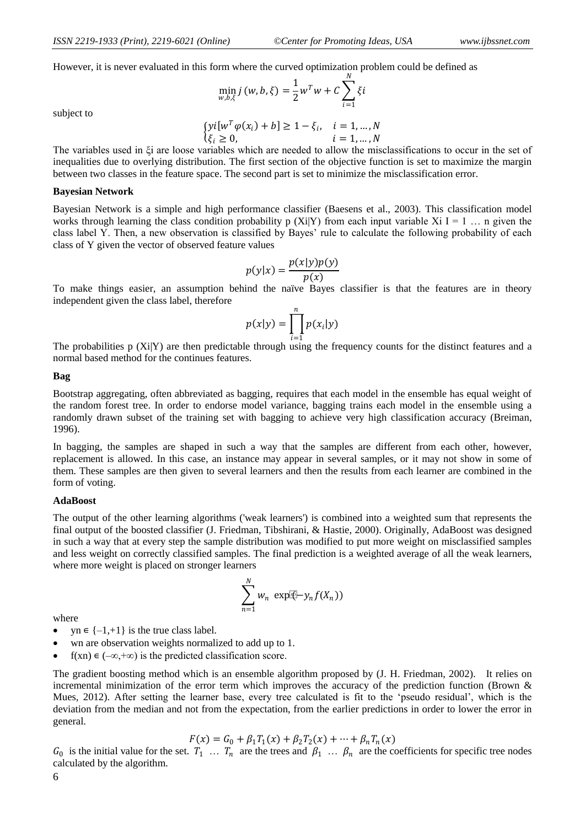However, it is never evaluated in this form where the curved optimization problem could be defined as

$$
\min_{w,b,\xi} j(w,b,\xi) = \frac{1}{2} w^T w + C \sum_{i=1}^N \xi i
$$

subject to

$$
\begin{cases}\nyi[w^T\varphi(x_i) + b] \ge 1 - \xi_i, & i = 1, \dots, N \\
\xi_i \ge 0, & i = 1, \dots, N\n\end{cases}
$$

The variables used in ξi are loose variables which are needed to allow the misclassifications to occur in the set of inequalities due to overlying distribution. The first section of the objective function is set to maximize the margin between two classes in the feature space. The second part is set to minimize the misclassification error.

#### **Bayesian Network**

Bayesian Network is a simple and high performance classifier (Baesens et al., 2003). This classification model works through learning the class condition probability p (Xi|Y) from each input variable Xi I = 1 ... n given the class label Y. Then, a new observation is classified by Bayes' rule to calculate the following probability of each class of Y given the vector of observed feature values

$$
p(y|x) = \frac{p(x|y)p(y)}{p(x)}
$$

To make things easier, an assumption behind the naïve Bayes classifier is that the features are in theory independent given the class label, therefore

$$
p(x|y) = \prod_{i=1}^{n} p(x_i|y)
$$

The probabilities  $p(X_i|Y)$  are then predictable through using the frequency counts for the distinct features and a normal based method for the continues features.

#### **Bag**

Bootstrap aggregating, often abbreviated as bagging, requires that each model in the ensemble has equal weight of the random forest tree. In order to endorse model variance, bagging trains each model in the ensemble using a randomly drawn subset of the training set with bagging to achieve very high classification accuracy (Breiman, 1996).

In bagging, the samples are shaped in such a way that the samples are different from each other, however, replacement is allowed. In this case, an instance may appear in several samples, or it may not show in some of them. These samples are then given to several learners and then the results from each learner are combined in the form of voting.

#### **AdaBoost**

The output of the other learning algorithms ('weak learners') is combined into a weighted sum that represents the final output of the boosted classifier (J. Friedman, Tibshirani, & Hastie, 2000). Originally, AdaBoost was designed in such a way that at every step the sample distribution was modified to put more weight on misclassified samples and less weight on correctly classified samples. The final prediction is a weighted average of all the weak learners, where more weight is placed on stronger learners

$$
\sum_{n=1}^{N} w_n \exp[\Phi - y_n f(X_n))
$$

where

- $yn \in \{-1,+1\}$  is the true class label.
- wn are observation weights normalized to add up to 1.
- $f(xn) \in (-\infty, +\infty)$  is the predicted classification score.

The gradient boosting method which is an ensemble algorithm proposed by (J. H. Friedman, 2002). It relies on incremental minimization of the error term which improves the accuracy of the prediction function (Brown & Mues, 2012). After setting the learner base, every tree calculated is fit to the 'pseudo residual', which is the deviation from the median and not from the expectation, from the earlier predictions in order to lower the error in general.

$$
F(x) = G_0 + \beta_1 T_1(x) + \beta_2 T_2(x) + \dots + \beta_n T_n(x)
$$

 $G_0$  is the initial value for the set.  $T_1$  ...  $T_n$  are the trees and  $\beta_1$  ...  $\beta_n$  are the coefficients for specific tree nodes calculated by the algorithm.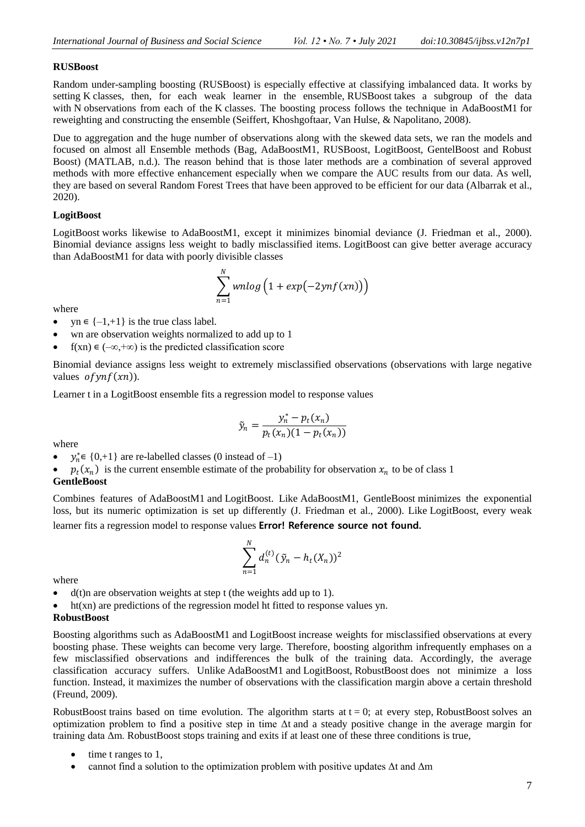### **RUSBoost**

Random under-sampling boosting (RUSBoost) is especially effective at classifying imbalanced data. It works by setting K classes, then, for each weak learner in the ensemble, RUSBoost takes a subgroup of the data with N observations from each of the K classes. The boosting process follows the technique in AdaBoostM1 for reweighting and constructing the ensemble (Seiffert, Khoshgoftaar, Van Hulse, & Napolitano, 2008).

Due to aggregation and the huge number of observations along with the skewed data sets, we ran the models and focused on almost all Ensemble methods (Bag, AdaBoostM1, RUSBoost, LogitBoost, GentelBoost and Robust Boost) (MATLAB, n.d.). The reason behind that is those later methods are a combination of several approved methods with more effective enhancement especially when we compare the AUC results from our data. As well, they are based on several Random Forest Trees that have been approved to be efficient for our data (Albarrak et al., 2020).

## **LogitBoost**

LogitBoost works likewise to AdaBoostM1, except it minimizes binomial deviance (J. Friedman et al., 2000). Binomial deviance assigns less weight to badly misclassified items. LogitBoost can give better average accuracy than AdaBoostM1 for data with poorly divisible classes

$$
\sum_{n=1}^{N} \text{w n} \log \left( 1 + \exp(-2\text{y n} f(\textit{x} n)) \right)
$$

where

- $yn \in \{-1,+1\}$  is the true class label.
- wn are observation weights normalized to add up to 1
- f(xn)  $\in (-\infty, +\infty)$  is the predicted classification score

Binomial deviance assigns less weight to extremely misclassified observations (observations with large negative values  $ofynf(xn)$ ).

Learner t in a LogitBoost ensemble fits a regression model to response values

$$
\tilde{y}_n = \frac{y_n^* - p_t(x_n)}{p_t(x_n)(1 - p_t(x_n))}
$$

where

•  $y_n^* \in \{0, +1\}$  are re-labelled classes (0 instead of -1)

•  $p_t(x_n)$  is the current ensemble estimate of the probability for observation  $x_n$  to be of class 1

### **GentleBoost**

Combines features of AdaBoostM1 and LogitBoost. Like AdaBoostM1, GentleBoost minimizes the exponential loss, but its numeric optimization is set up differently (J. Friedman et al., 2000). Like LogitBoost, every weak learner fits a regression model to response values **Error! Reference source not found.**

$$
\sum_{n=1}^{N} d_n^{(t)} (\tilde{y}_n - h_t(X_n))^2
$$

where

- $\bullet$  d(t)n are observation weights at step t (the weights add up to 1).
- ht(xn) are predictions of the regression model ht fitted to response values yn.

## **RobustBoost**

Boosting algorithms such as AdaBoostM1 and LogitBoost increase weights for misclassified observations at every boosting phase. These weights can become very large. Therefore, boosting algorithm infrequently emphases on a few misclassified observations and indifferences the bulk of the training data. Accordingly, the average classification accuracy suffers. Unlike AdaBoostM1 and LogitBoost, RobustBoost does not minimize a loss function. Instead, it maximizes the number of observations with the classification margin above a certain threshold (Freund, 2009).

RobustBoost trains based on time evolution. The algorithm starts at  $t = 0$ ; at every step, RobustBoost solves an optimization problem to find a positive step in time  $\Delta t$  and a steady positive change in the average margin for training data Δm. RobustBoost stops training and exits if at least one of these three conditions is true,

- time t ranges to 1,
- cannot find a solution to the optimization problem with positive updates  $\Delta t$  and  $\Delta m$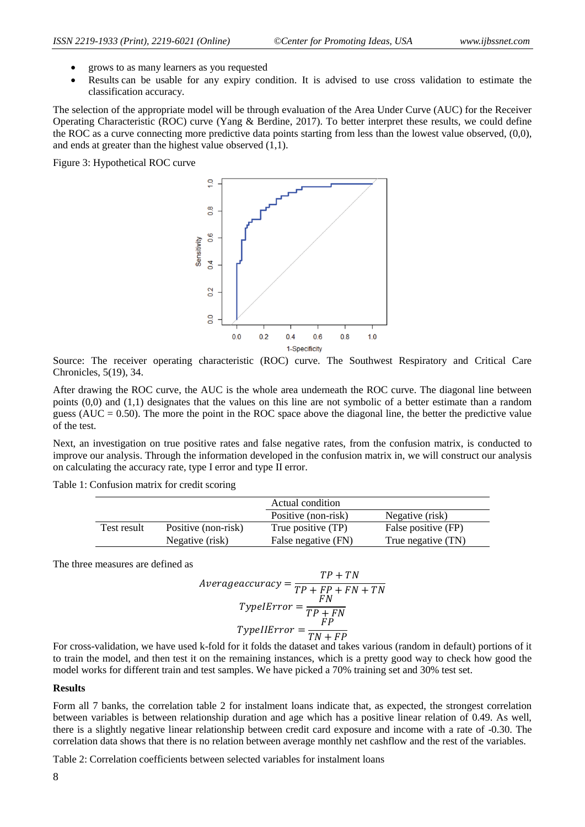- grows to as many learners as you requested
- Results can be usable for any expiry condition. It is advised to use cross validation to estimate the classification accuracy.

The selection of the appropriate model will be through evaluation of the Area Under Curve (AUC) for the Receiver Operating Characteristic (ROC) curve (Yang & Berdine, 2017). To better interpret these results, we could define the ROC as a curve connecting more predictive data points starting from less than the lowest value observed, (0,0), and ends at greater than the highest value observed  $(1,1)$ .

Figure 3: Hypothetical ROC curve



Source: The receiver operating characteristic (ROC) curve. The Southwest Respiratory and Critical Care Chronicles, 5(19), 34.

After drawing the ROC curve, the AUC is the whole area underneath the ROC curve. The diagonal line between points (0,0) and (1,1) designates that the values on this line are not symbolic of a better estimate than a random guess ( $AUC = 0.50$ ). The more the point in the ROC space above the diagonal line, the better the predictive value of the test.

Next, an investigation on true positive rates and false negative rates, from the confusion matrix, is conducted to improve our analysis. Through the information developed in the confusion matrix in, we will construct our analysis on calculating the accuracy rate, type I error and type II error.

Table 1: Confusion matrix for credit scoring

|             |                     | Actual condition    |                     |
|-------------|---------------------|---------------------|---------------------|
|             |                     | Positive (non-risk) | Negative (risk)     |
| Test result | Positive (non-risk) | True positive (TP)  | False positive (FP) |
|             | Negative (risk)     | False negative (FN) | True negative (TN)  |

The three measures are defined as

$$
Average accuracy = \frac{TP + TN}{TP + FP + FN + TN}
$$

$$
TypeIError = \frac{FN}{TP + FN}
$$

$$
TypeIError = \frac{FP}{TN + FP}
$$

For cross-validation, we have used k-fold for it folds the dataset and takes various (random in default) portions of it to train the model, and then test it on the remaining instances, which is a pretty good way to check how good the model works for different train and test samples. We have picked a 70% training set and 30% test set.

#### **Results**

Form all 7 banks, the correlation table 2 for instalment loans indicate that, as expected, the strongest correlation between variables is between relationship duration and age which has a positive linear relation of 0.49. As well, there is a slightly negative linear relationship between credit card exposure and income with a rate of -0.30. The correlation data shows that there is no relation between average monthly net cashflow and the rest of the variables.

Table 2: Correlation coefficients between selected variables for instalment loans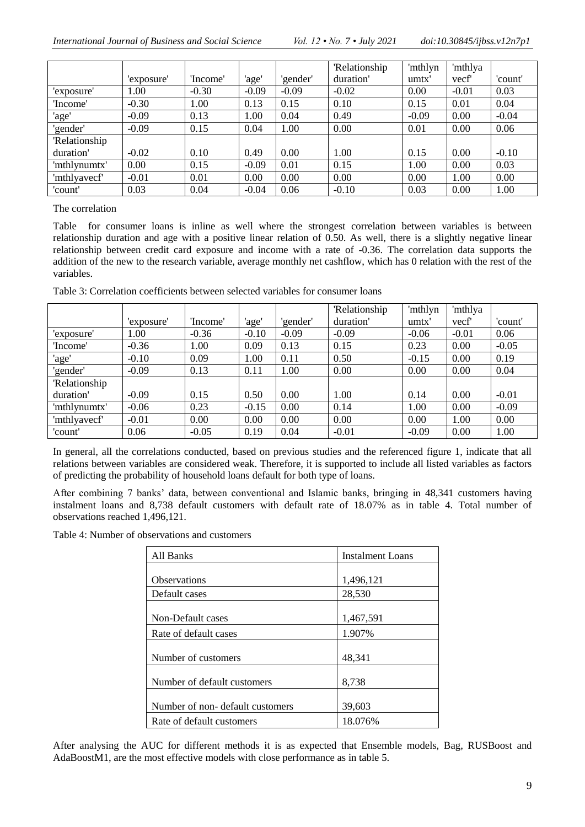|                     |            |          |         |          | <b>Relationship</b> | 'mthlyn | 'mthlya |         |
|---------------------|------------|----------|---------|----------|---------------------|---------|---------|---------|
|                     | 'exposure' | 'Income' | 'age'   | 'gender' | duration'           | umtx'   | vecf    | 'count' |
| 'exposure'          | 00.1       | $-0.30$  | $-0.09$ | $-0.09$  | $-0.02$             | 0.00    | $-0.01$ | 0.03    |
| 'Income'            | $-0.30$    | 1.00     | 0.13    | 0.15     | 0.10                | 0.15    | 0.01    | 0.04    |
| 'age'               | $-0.09$    | 0.13     | 1.00    | 0.04     | 0.49                | $-0.09$ | 0.00    | $-0.04$ |
| 'gender'            | $-0.09$    | 0.15     | 0.04    | 1.00     | 0.00                | 0.01    | 0.00    | 0.06    |
| <b>Relationship</b> |            |          |         |          |                     |         |         |         |
| duration'           | $-0.02$    | 0.10     | 0.49    | 0.00     | 1.00                | 0.15    | 0.00    | $-0.10$ |
| 'mthlynumtx'        | 0.00       | 0.15     | $-0.09$ | 0.01     | 0.15                | 1.00    | 0.00    | 0.03    |
| 'mthlyavecf'        | $-0.01$    | 0.01     | 0.00    | 0.00     | 0.00                | 0.00    | 1.00    | 0.00    |
| 'count'             | 0.03       | 0.04     | $-0.04$ | 0.06     | $-0.10$             | 0.03    | 0.00    | 1.00    |

The correlation

[Table](#page-8-0) for consumer loans is inline as well where the strongest correlation between variables is between relationship duration and age with a positive linear relation of 0.50. As well, there is a slightly negative linear relationship between credit card exposure and income with a rate of -0.36. The correlation data supports the addition of the new to the research variable, average monthly net cashflow, which has 0 relation with the rest of the variables.

<span id="page-8-0"></span>Table 3: Correlation coefficients between selected variables for consumer loans

|                     |            |          |         |          | <b>Relationship</b> | 'mthlyn | 'mthlya |         |
|---------------------|------------|----------|---------|----------|---------------------|---------|---------|---------|
|                     | 'exposure' | 'Income' | 'age'   | 'gender' | duration'           | umtx'   | vecf    | 'count' |
| 'exposure'          | $1.00\,$   | $-0.36$  | $-0.10$ | $-0.09$  | $-0.09$             | $-0.06$ | $-0.01$ | 0.06    |
| 'Income'            | $-0.36$    | 1.00     | 0.09    | 0.13     | 0.15                | 0.23    | 0.00    | $-0.05$ |
| 'age'               | $-0.10$    | 0.09     | 1.00    | 0.11     | 0.50                | $-0.15$ | 0.00    | 0.19    |
| 'gender'            | $-0.09$    | 0.13     | 0.11    | 1.00     | 0.00                | 0.00    | 0.00    | 0.04    |
| <b>Relationship</b> |            |          |         |          |                     |         |         |         |
| duration'           | $-0.09$    | 0.15     | 0.50    | 0.00     | 1.00                | 0.14    | 0.00    | $-0.01$ |
| 'mthlynumtx'        | $-0.06$    | 0.23     | $-0.15$ | 0.00     | 0.14                | 1.00    | 0.00    | $-0.09$ |
| 'mthlyavecf'        | $-0.01$    | $0.00\,$ | 0.00    | 0.00     | 0.00                | 0.00    | 1.00    | 0.00    |
| 'count'             | 0.06       | $-0.05$  | 0.19    | 0.04     | $-0.01$             | $-0.09$ | 0.00    | 1.00    |

In general, all the correlations conducted, based on previous studies and the referenced figure 1, indicate that all relations between variables are considered weak. Therefore, it is supported to include all listed variables as factors of predicting the probability of household loans default for both type of loans.

After combining 7 banks' data, between conventional and Islamic banks, bringing in 48,341 customers having instalment loans and 8,738 default customers with default rate of 18.07% as in table 4. Total number of observations reached 1,496,121.

Table 4: Number of observations and customers

| All Banks                       | <b>Instalment Loans</b> |
|---------------------------------|-------------------------|
|                                 |                         |
| <b>Observations</b>             | 1,496,121               |
| Default cases                   | 28,530                  |
|                                 |                         |
| Non-Default cases               | 1,467,591               |
| Rate of default cases           | 1.907%                  |
|                                 |                         |
| Number of customers             | 48,341                  |
|                                 |                         |
| Number of default customers     | 8,738                   |
|                                 |                         |
| Number of non-default customers | 39,603                  |
| Rate of default customers       | 18.076%                 |

After analysing the AUC for different methods it is as expected that Ensemble models, Bag, RUSBoost and AdaBoostM1, are the most effective models with close performance as in table 5.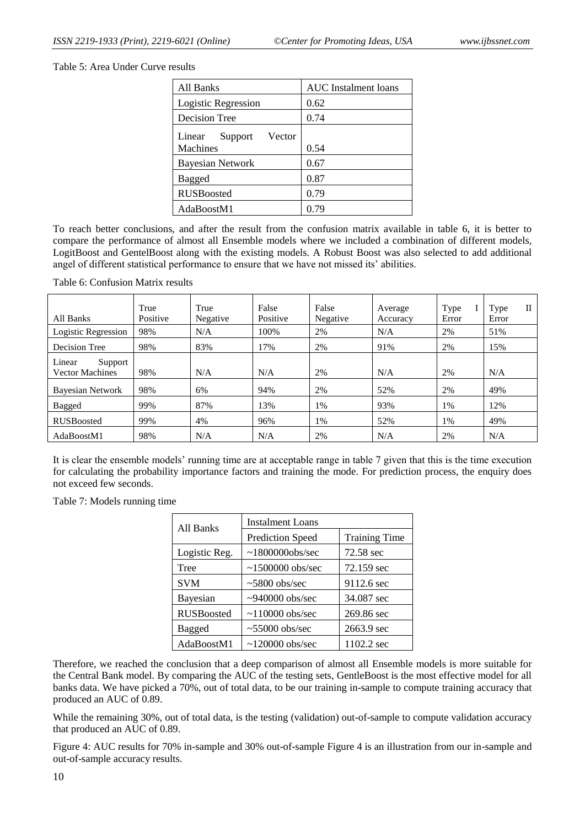Table 5: Area Under Curve results

| All Banks                   | <b>AUC</b> Instalment loans |
|-----------------------------|-----------------------------|
| Logistic Regression         | 0.62                        |
| Decision Tree               | 0.74                        |
| Vector<br>Linear<br>Support |                             |
| <b>Machines</b>             | 0.54                        |
| <b>Bayesian Network</b>     | 0.67                        |
| <b>Bagged</b>               | 0.87                        |
| <b>RUSBoosted</b>           | 0.79                        |
| AdaBoostM1                  | 0.79                        |

To reach better conclusions, and after the result from the confusion matrix available in table 6, it is better to compare the performance of almost all Ensemble models where we included a combination of different models, LogitBoost and GentelBoost along with the existing models. A Robust Boost was also selected to add additional angel of different statistical performance to ensure that we have not missed its' abilities.

Table 6: Confusion Matrix results

| All Banks                                   | True<br>Positive | True<br>Negative | False<br>Positive | False<br>Negative | Average<br>Accuracy | Type<br>Error | П<br>Type<br>Error |
|---------------------------------------------|------------------|------------------|-------------------|-------------------|---------------------|---------------|--------------------|
| Logistic Regression                         | 98%              | N/A              | 100%              | 2%                | N/A                 | 2%            | 51%                |
| Decision Tree                               | 98%              | 83%              | 17%               | 2%                | 91%                 | 2%            | 15%                |
| Linear<br>Support<br><b>Vector Machines</b> | 98%              | N/A              | N/A               | 2%                | N/A                 | 2%            | N/A                |
| <b>Bayesian Network</b>                     | 98%              | 6%               | 94%               | 2%                | 52%                 | 2%            | 49%                |
| <b>Bagged</b>                               | 99%              | 87%              | 13%               | 1%                | 93%                 | 1%            | 12%                |
| <b>RUSBoosted</b>                           | 99%              | 4%               | 96%               | 1%                | 52%                 | 1%            | 49%                |
| AdaBoostM1                                  | 98%              | N/A              | N/A               | 2%                | N/A                 | 2%            | N/A                |

It is clear the ensemble models' running time are at acceptable range in table 7 given that this is the time execution for calculating the probability importance factors and training the mode. For prediction process, the enquiry does not exceed few seconds.

Table 7: Models running time

| All Banks         | <b>Instalment Loans</b> |                      |  |  |
|-------------------|-------------------------|----------------------|--|--|
|                   | <b>Prediction Speed</b> | <b>Training Time</b> |  |  |
| Logistic Reg.     | $\sim$ 1800000obs/sec   | 72.58 sec            |  |  |
| Tree              | $\sim$ 1500000 obs/sec  | 72.159 sec           |  |  |
| <b>SVM</b>        | $\sim 5800$ obs/sec     | 9112.6 sec           |  |  |
| Bayesian          | $\sim$ 940000 obs/sec   | 34.087 sec           |  |  |
| <b>RUSBoosted</b> | $\sim$ 110000 obs/sec   | 269.86 sec           |  |  |
| Bagged            | $\sim 55000$ obs/sec    | 2663.9 sec           |  |  |
| AdaBoostM1        | $\sim$ 120000 obs/sec   | 1102.2 sec           |  |  |

Therefore, we reached the conclusion that a deep comparison of almost all Ensemble models is more suitable for the Central Bank model. By comparing the AUC of the testing sets, GentleBoost is the most effective model for all banks data. We have picked a 70%, out of total data, to be our training in-sample to compute training accuracy that produced an AUC of 0.89.

While the remaining 30%, out of total data, is the testing (validation) out-of-sample to compute validation accuracy that produced an AUC of 0.89.

<span id="page-9-0"></span>[Figure 4: AUC results for 70% in-sample and 30% out-of-sample](#page-9-0) Figure 4 is an illustration from our in-sample and out-of-sample accuracy results.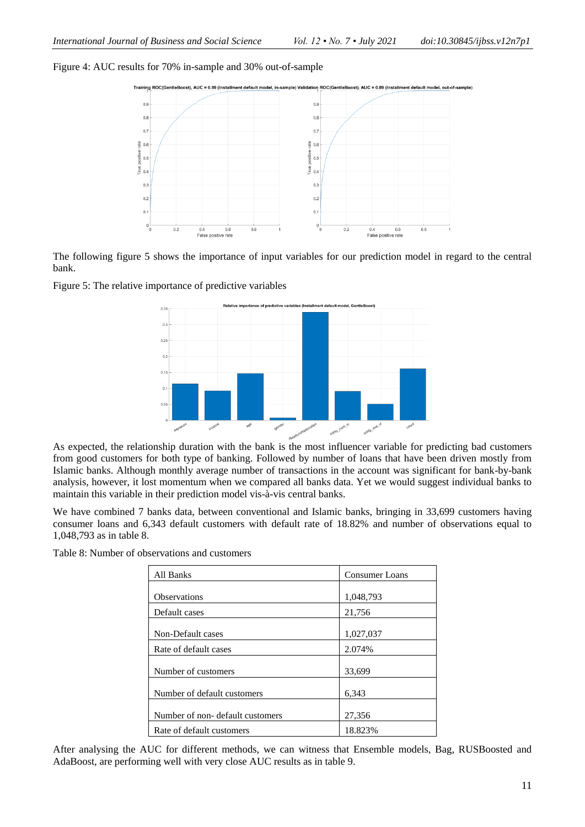Figure 4: AUC results for 70% in-sample and 30% out-of-sample





The following figure 5 shows the importance of input variables for our prediction model in regard to the central bank.





As expected, the relationship duration with the bank is the most influencer variable for predicting bad customers from good customers for both type of banking. Followed by number of loans that have been driven mostly from Islamic banks. Although monthly average number of transactions in the account was significant for bank-by-bank analysis, however, it lost momentum when we compared all banks data. Yet we would suggest individual banks to maintain this variable in their prediction model vis-à-vis central banks.

We have combined 7 banks data, between conventional and Islamic banks, bringing in 33,699 customers having consumer loans and 6,343 default customers with default rate of 18.82% and number of observations equal to 1,048,793 as in table 8.

| All Banks                       | <b>Consumer Loans</b> |
|---------------------------------|-----------------------|
|                                 |                       |
| <b>Observations</b>             | 1,048,793             |
| Default cases                   | 21,756                |
|                                 |                       |
| Non-Default cases               | 1,027,037             |
| Rate of default cases           | 2.074%                |
|                                 |                       |
| Number of customers             | 33,699                |
|                                 |                       |
| Number of default customers     | 6,343                 |
|                                 |                       |
| Number of non-default customers | 27,356                |
| Rate of default customers       | 18.823%               |

Table 8: Number of observations and customers

After analysing the AUC for different methods, we can witness that Ensemble models, Bag, RUSBoosted and AdaBoost, are performing well with very close AUC results as in table 9.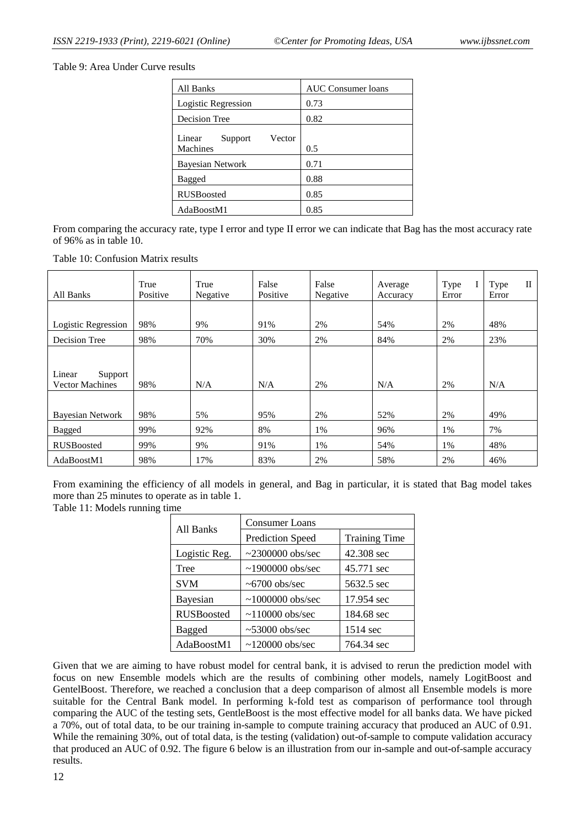Table 9: Area Under Curve results

| All Banks                               | <b>AUC</b> Consumer loans |
|-----------------------------------------|---------------------------|
| Logistic Regression                     | 0.73                      |
| <b>Decision Tree</b>                    | 0.82                      |
| Vector<br>Linear<br>Support<br>Machines | 0.5                       |
| <b>Bayesian Network</b>                 | 0.71                      |
| Bagged                                  | 0.88                      |
| <b>RUSBoosted</b>                       | 0.85                      |
| AdaBoostM1                              | 0.85                      |

From comparing the accuracy rate, type I error and type II error we can indicate that Bag has the most accuracy rate of 96% as in table 10.

Table 10: Confusion Matrix results

| All Banks                                   | True<br>Positive | True<br>Negative | False<br>Positive | False<br>Negative | Average<br>Accuracy | Type<br>I<br>Error | $\rm{II}$<br>Type<br>Error |
|---------------------------------------------|------------------|------------------|-------------------|-------------------|---------------------|--------------------|----------------------------|
|                                             |                  |                  |                   |                   |                     |                    |                            |
| Logistic Regression                         | 98%              | 9%               | 91%               | 2%                | 54%                 | 2%                 | 48%                        |
| Decision Tree                               | 98%              | 70%              | 30%               | 2%                | 84%                 | 2%                 | 23%                        |
| Linear<br>Support<br><b>Vector Machines</b> | 98%              | N/A              | N/A               | 2%                | N/A                 | 2%                 | N/A                        |
| <b>Bayesian Network</b>                     | 98%              | 5%               | 95%               | 2%                | 52%                 | 2%                 | 49%                        |
| Bagged                                      | 99%              | 92%              | 8%                | 1%                | 96%                 | 1%                 | 7%                         |
| <b>RUSBoosted</b>                           | 99%              | 9%               | 91%               | 1%                | 54%                 | 1%                 | 48%                        |
| AdaBoostM1                                  | 98%              | 17%              | 83%               | 2%                | 58%                 | 2%                 | 46%                        |

From examining the efficiency of all models in general, and Bag in particular, it is stated that Bag model takes more than 25 minutes to operate as in table 1.

Table 11: Models running time

| All Banks         | <b>Consumer Loans</b>   |                      |  |  |  |
|-------------------|-------------------------|----------------------|--|--|--|
|                   | <b>Prediction Speed</b> | <b>Training Time</b> |  |  |  |
| Logistic Reg.     | $\sim$ 2300000 obs/sec  | 42.308 sec           |  |  |  |
| Tree              | $\sim$ 1900000 obs/sec  | 45.771 sec           |  |  |  |
| <b>SVM</b>        | $\sim 6700$ obs/sec     | 5632.5 sec           |  |  |  |
| <b>Bayesian</b>   | $\sim$ 1000000 obs/sec  | 17.954 sec           |  |  |  |
| <b>RUSBoosted</b> | $\sim$ 110000 obs/sec   | 184.68 sec           |  |  |  |
| Bagged            | $~53000$ obs/sec        | 1514 sec             |  |  |  |
| AdaBoostM1        | $\sim$ 120000 obs/sec   | 764.34 sec           |  |  |  |

Given that we are aiming to have robust model for central bank, it is advised to rerun the prediction model with focus on new Ensemble models which are the results of combining other models, namely LogitBoost and GentelBoost. Therefore, we reached a conclusion that a deep comparison of almost all Ensemble models is more suitable for the Central Bank model. In performing k-fold test as comparison of performance tool through comparing the AUC of the testing sets, GentleBoost is the most effective model for all banks data. We have picked a 70%, out of total data, to be our training in-sample to compute training accuracy that produced an AUC of 0.91. While the remaining 30%, out of total data, is the testing (validation) out-of-sample to compute validation accuracy that produced an AUC of 0.92. The figure 6 below is an illustration from our in-sample and out-of-sample accuracy results.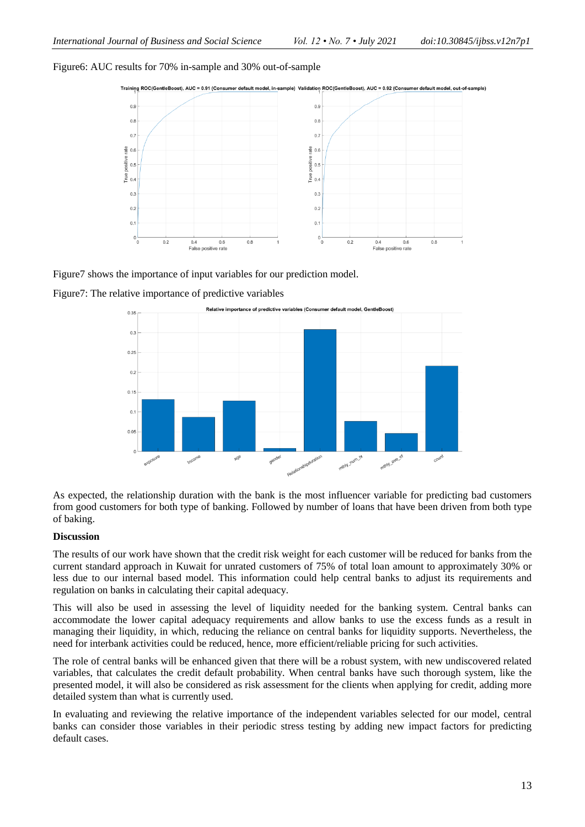### Figure6: AUC results for 70% in-sample and 30% out-of-sample



Figure7 shows the importance of input variables for our prediction model.





As expected, the relationship duration with the bank is the most influencer variable for predicting bad customers from good customers for both type of banking. Followed by number of loans that have been driven from both type of baking.

### **Discussion**

The results of our work have shown that the credit risk weight for each customer will be reduced for banks from the current standard approach in Kuwait for unrated customers of 75% of total loan amount to approximately 30% or less due to our internal based model. This information could help central banks to adjust its requirements and regulation on banks in calculating their capital adequacy.

This will also be used in assessing the level of liquidity needed for the banking system. Central banks can accommodate the lower capital adequacy requirements and allow banks to use the excess funds as a result in managing their liquidity, in which, reducing the reliance on central banks for liquidity supports. Nevertheless, the need for interbank activities could be reduced, hence, more efficient/reliable pricing for such activities.

The role of central banks will be enhanced given that there will be a robust system, with new undiscovered related variables, that calculates the credit default probability. When central banks have such thorough system, like the presented model, it will also be considered as risk assessment for the clients when applying for credit, adding more detailed system than what is currently used.

In evaluating and reviewing the relative importance of the independent variables selected for our model, central banks can consider those variables in their periodic stress testing by adding new impact factors for predicting default cases.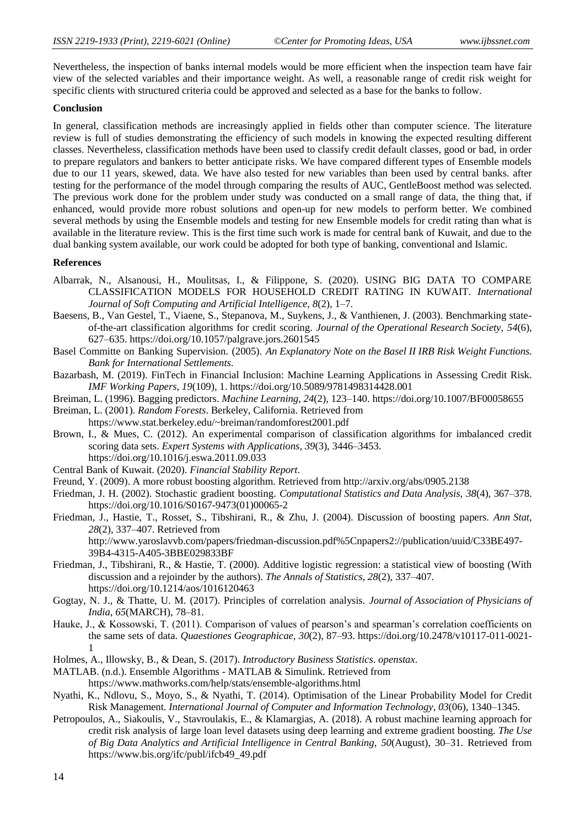Nevertheless, the inspection of banks internal models would be more efficient when the inspection team have fair view of the selected variables and their importance weight. As well, a reasonable range of credit risk weight for specific clients with structured criteria could be approved and selected as a base for the banks to follow.

#### **Conclusion**

In general, classification methods are increasingly applied in fields other than computer science. The literature review is full of studies demonstrating the efficiency of such models in knowing the expected resulting different classes. Nevertheless, classification methods have been used to classify credit default classes, good or bad, in order to prepare regulators and bankers to better anticipate risks. We have compared different types of Ensemble models due to our 11 years, skewed, data. We have also tested for new variables than been used by central banks. after testing for the performance of the model through comparing the results of AUC, GentleBoost method was selected. The previous work done for the problem under study was conducted on a small range of data, the thing that, if enhanced, would provide more robust solutions and open-up for new models to perform better. We combined several methods by using the Ensemble models and testing for new Ensemble models for credit rating than what is available in the literature review. This is the first time such work is made for central bank of Kuwait, and due to the dual banking system available, our work could be adopted for both type of banking, conventional and Islamic.

#### **References**

- Albarrak, N., Alsanousi, H., Moulitsas, I., & Filippone, S. (2020). USING BIG DATA TO COMPARE CLASSIFICATION MODELS FOR HOUSEHOLD CREDIT RATING IN KUWAIT. *International Journal of Soft Computing and Artificial Intelligence*, *8*(2), 1–7.
- Baesens, B., Van Gestel, T., Viaene, S., Stepanova, M., Suykens, J., & Vanthienen, J. (2003). Benchmarking stateof-the-art classification algorithms for credit scoring. *Journal of the Operational Research Society*, *54*(6), 627–635. https://doi.org/10.1057/palgrave.jors.2601545
- Basel Committe on Banking Supervision. (2005). *An Explanatory Note on the Basel II IRB Risk Weight Functions*. *Bank for International Settlements*.
- Bazarbash, M. (2019). FinTech in Financial Inclusion: Machine Learning Applications in Assessing Credit Risk. *IMF Working Papers*, *19*(109), 1. https://doi.org/10.5089/9781498314428.001
- Breiman, L. (1996). Bagging predictors. *Machine Learning*, *24*(2), 123–140. https://doi.org/10.1007/BF00058655
- Breiman, L. (2001). *Random Forests*. Berkeley, California. Retrieved from https://www.stat.berkeley.edu/~breiman/randomforest2001.pdf
- Brown, I., & Mues, C. (2012). An experimental comparison of classification algorithms for imbalanced credit scoring data sets. *Expert Systems with Applications*, *39*(3), 3446–3453. https://doi.org/10.1016/j.eswa.2011.09.033
- Central Bank of Kuwait. (2020). *Financial Stability Report*.
- Freund, Y. (2009). A more robust boosting algorithm. Retrieved from http://arxiv.org/abs/0905.2138
- Friedman, J. H. (2002). Stochastic gradient boosting. *Computational Statistics and Data Analysis*, *38*(4), 367–378. https://doi.org/10.1016/S0167-9473(01)00065-2
- Friedman, J., Hastie, T., Rosset, S., Tibshirani, R., & Zhu, J. (2004). Discussion of boosting papers. *Ann Stat*, *28*(2), 337–407. Retrieved from http://www.yaroslavvb.com/papers/friedman-discussion.pdf%5Cnpapers2://publication/uuid/C33BE497- 39B4-4315-A405-3BBE029833BF
- Friedman, J., Tibshirani, R., & Hastie, T. (2000). Additive logistic regression: a statistical view of boosting (With discussion and a rejoinder by the authors). *The Annals of Statistics*, *28*(2), 337–407. https://doi.org/10.1214/aos/1016120463
- Gogtay, N. J., & Thatte, U. M. (2017). Principles of correlation analysis. *Journal of Association of Physicians of India*, *65*(MARCH), 78–81.
- Hauke, J., & Kossowski, T. (2011). Comparison of values of pearson's and spearman's correlation coefficients on the same sets of data. *Quaestiones Geographicae*, *30*(2), 87–93. https://doi.org/10.2478/v10117-011-0021- 1
- Holmes, A., Illowsky, B., & Dean, S. (2017). *Introductory Business Statistics*. *openstax*.

MATLAB. (n.d.). Ensemble Algorithms - MATLAB & Simulink. Retrieved from https://www.mathworks.com/help/stats/ensemble-algorithms.html

- Nyathi, K., Ndlovu, S., Moyo, S., & Nyathi, T. (2014). Optimisation of the Linear Probability Model for Credit Risk Management. *International Journal of Computer and Information Technology*, *03*(06), 1340–1345.
- Petropoulos, A., Siakoulis, V., Stavroulakis, E., & Klamargias, A. (2018). A robust machine learning approach for credit risk analysis of large loan level datasets using deep learning and extreme gradient boosting. *The Use of Big Data Analytics and Artificial Intelligence in Central Banking*, *50*(August), 30–31. Retrieved from https://www.bis.org/ifc/publ/ifcb49\_49.pdf